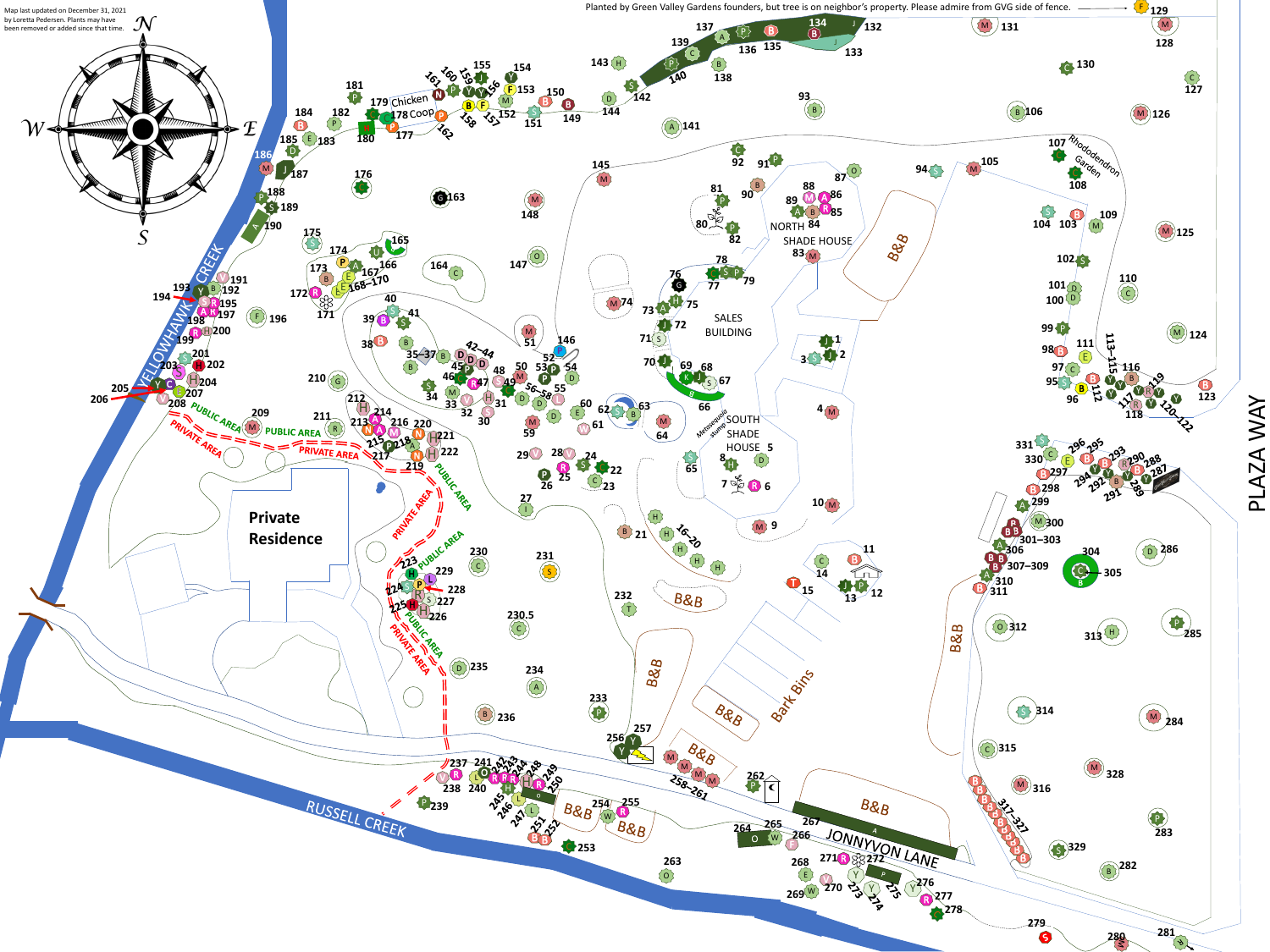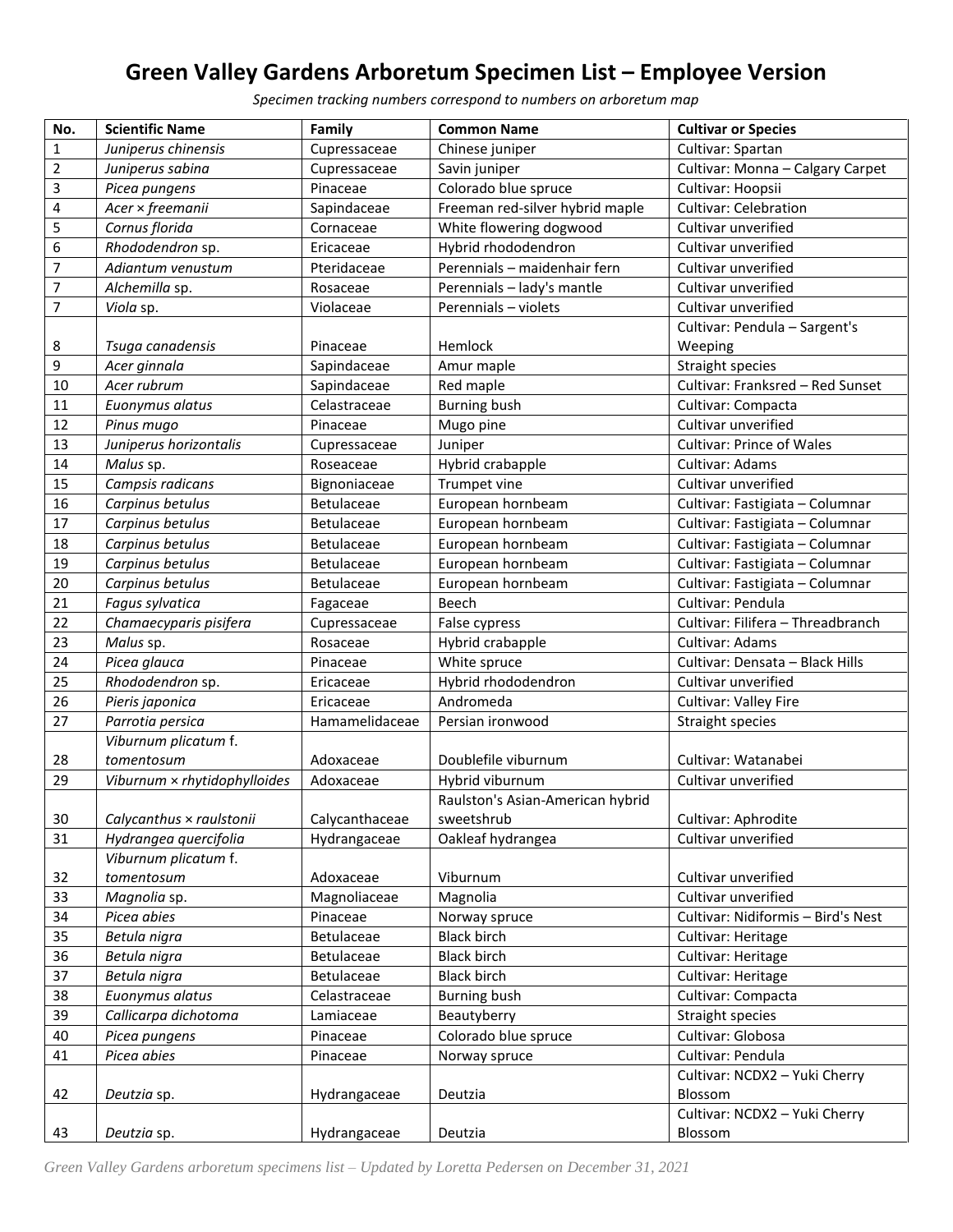## **Green Valley Gardens Arboretum Specimen List – Employee Version**

*Specimen tracking numbers correspond to numbers on arboretum map*

| No.                     | <b>Scientific Name</b>       | Family            | <b>Common Name</b>               | <b>Cultivar or Species</b>         |
|-------------------------|------------------------------|-------------------|----------------------------------|------------------------------------|
| $\mathbf 1$             | Juniperus chinensis          | Cupressaceae      | Chinese juniper                  | Cultivar: Spartan                  |
| $\mathbf 2$             | Juniperus sabina             | Cupressaceae      | Savin juniper                    | Cultivar: Monna - Calgary Carpet   |
| 3                       | Picea pungens                | Pinaceae          | Colorado blue spruce             | Cultivar: Hoopsii                  |
| $\overline{\mathbf{4}}$ | Acer × freemanii             | Sapindaceae       | Freeman red-silver hybrid maple  | <b>Cultivar: Celebration</b>       |
| 5                       | Cornus florida               | Cornaceae         | White flowering dogwood          | Cultivar unverified                |
| 6                       | Rhododendron sp.             | Ericaceae         | Hybrid rhododendron              | Cultivar unverified                |
| $\overline{7}$          | Adiantum venustum            | Pteridaceae       | Perennials - maidenhair fern     | Cultivar unverified                |
| $\overline{7}$          | Alchemilla sp.               | Rosaceae          | Perennials - lady's mantle       | Cultivar unverified                |
| $\overline{7}$          | Viola sp.                    | Violaceae         | Perennials - violets             | Cultivar unverified                |
|                         |                              |                   |                                  | Cultivar: Pendula - Sargent's      |
| 8                       | Tsuga canadensis             | Pinaceae          | Hemlock                          | Weeping                            |
| 9                       | Acer ginnala                 | Sapindaceae       | Amur maple                       | <b>Straight species</b>            |
| 10                      | Acer rubrum                  | Sapindaceae       | Red maple                        | Cultivar: Franksred - Red Sunset   |
| 11                      | Euonymus alatus              | Celastraceae      | <b>Burning bush</b>              | Cultivar: Compacta                 |
| 12                      | Pinus mugo                   | Pinaceae          | Mugo pine                        | Cultivar unverified                |
| 13                      | Juniperus horizontalis       | Cupressaceae      | Juniper                          | <b>Cultivar: Prince of Wales</b>   |
| 14                      | Malus sp.                    | Roseaceae         | Hybrid crabapple                 | Cultivar: Adams                    |
| 15                      | Campsis radicans             | Bignoniaceae      | Trumpet vine                     | Cultivar unverified                |
| 16                      | Carpinus betulus             | <b>Betulaceae</b> | European hornbeam                | Cultivar: Fastigiata - Columnar    |
| 17                      | Carpinus betulus             | Betulaceae        | European hornbeam                | Cultivar: Fastigiata - Columnar    |
| 18                      | Carpinus betulus             | <b>Betulaceae</b> | European hornbeam                | Cultivar: Fastigiata - Columnar    |
| 19                      | Carpinus betulus             | Betulaceae        | European hornbeam                | Cultivar: Fastigiata - Columnar    |
| 20                      | Carpinus betulus             | Betulaceae        | European hornbeam                | Cultivar: Fastigiata - Columnar    |
| 21                      | Fagus sylvatica              | Fagaceae          | Beech                            | Cultivar: Pendula                  |
| 22                      | Chamaecyparis pisifera       | Cupressaceae      | False cypress                    | Cultivar: Filifera - Threadbranch  |
| 23                      | Malus sp.                    | Rosaceae          | Hybrid crabapple                 | Cultivar: Adams                    |
| 24                      | Picea glauca                 | Pinaceae          | White spruce                     | Cultivar: Densata - Black Hills    |
| 25                      | Rhododendron sp.             | Ericaceae         | Hybrid rhododendron              | Cultivar unverified                |
| 26                      | Pieris japonica              | Ericaceae         | Andromeda                        | Cultivar: Valley Fire              |
| 27                      | Parrotia persica             | Hamamelidaceae    | Persian ironwood                 | Straight species                   |
|                         | Viburnum plicatum f.         |                   |                                  |                                    |
| 28                      | tomentosum                   | Adoxaceae         | Doublefile viburnum              | Cultivar: Watanabei                |
| 29                      | Viburnum × rhytidophylloides | Adoxaceae         | Hybrid viburnum                  | Cultivar unverified                |
|                         |                              |                   | Raulston's Asian-American hybrid |                                    |
| 30                      | Calycanthus × raulstonii     | Calycanthaceae    | sweetshrub                       | Cultivar: Aphrodite                |
| 31                      | Hydrangea quercifolia        | Hydrangaceae      | Oakleaf hydrangea                | Cultivar unverified                |
|                         | Viburnum plicatum f.         |                   |                                  |                                    |
| 32                      | tomentosum                   | Adoxaceae         | Viburnum                         | Cultivar unverified                |
| 33                      | Magnolia sp.                 | Magnoliaceae      | Magnolia                         | Cultivar unverified                |
| 34                      | Picea abies                  | Pinaceae          | Norway spruce                    | Cultivar: Nidiformis - Bird's Nest |
| 35                      | Betula nigra                 | Betulaceae        | <b>Black birch</b>               | Cultivar: Heritage                 |
| 36                      | Betula nigra                 | Betulaceae        | <b>Black birch</b>               | Cultivar: Heritage                 |
| 37                      | Betula nigra                 | Betulaceae        | <b>Black birch</b>               | Cultivar: Heritage                 |
| 38                      | Euonymus alatus              | Celastraceae      | <b>Burning bush</b>              | Cultivar: Compacta                 |
| 39                      | Callicarpa dichotoma         | Lamiaceae         | Beautyberry                      | Straight species                   |
| 40                      | Picea pungens                | Pinaceae          | Colorado blue spruce             | Cultivar: Globosa                  |
| 41                      | Picea abies                  | Pinaceae          | Norway spruce                    | Cultivar: Pendula                  |
|                         |                              |                   |                                  | Cultivar: NCDX2 - Yuki Cherry      |
| 42                      | Deutzia sp.                  | Hydrangaceae      | Deutzia                          | Blossom                            |
|                         |                              |                   |                                  | Cultivar: NCDX2 - Yuki Cherry      |
| 43                      | Deutzia sp.                  | Hydrangaceae      | Deutzia                          | Blossom                            |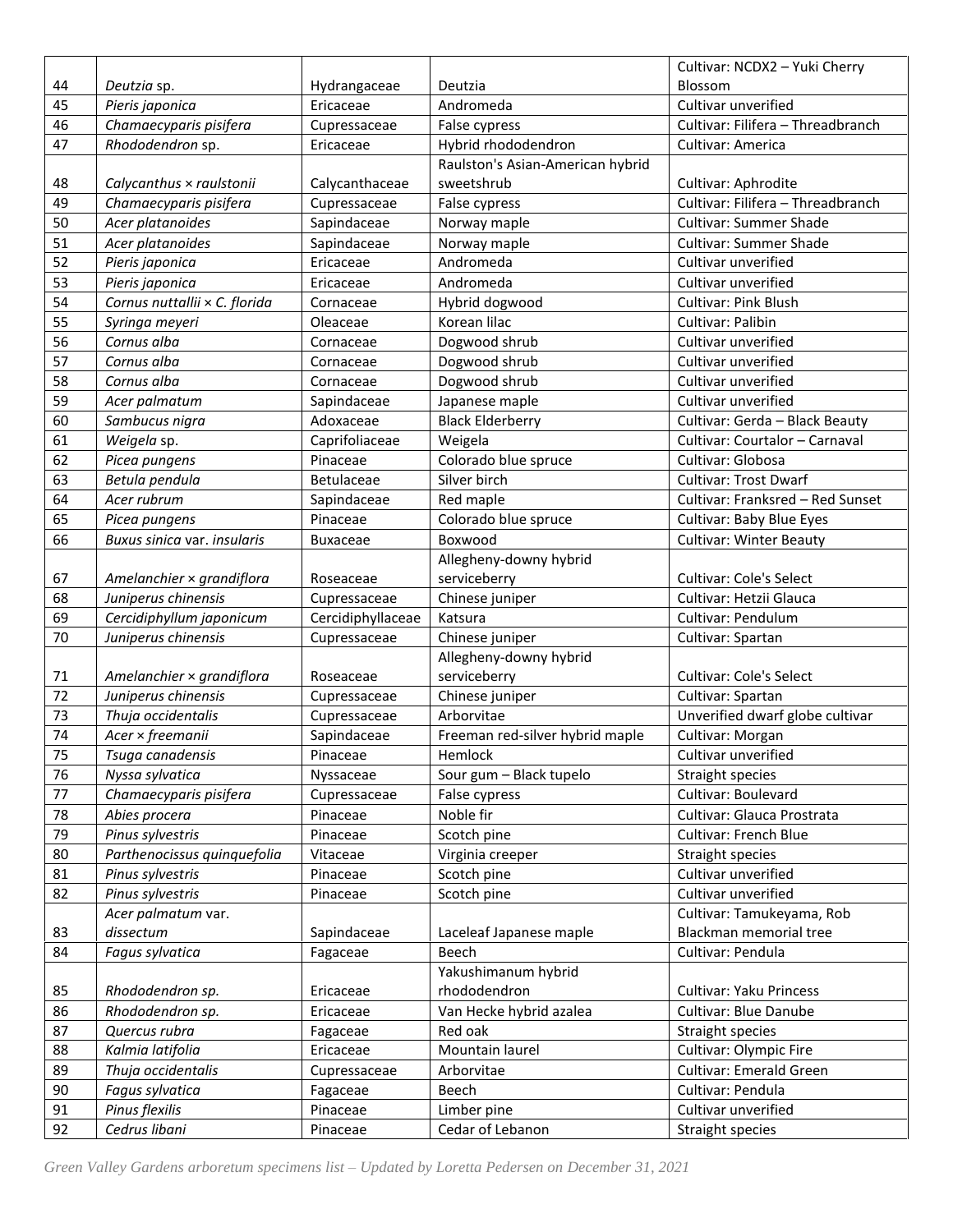|    |                               |                   |                                  | Cultivar: NCDX2 - Yuki Cherry     |
|----|-------------------------------|-------------------|----------------------------------|-----------------------------------|
| 44 | Deutzia sp.                   | Hydrangaceae      | Deutzia                          | Blossom                           |
| 45 | Pieris japonica               | Ericaceae         | Andromeda                        | Cultivar unverified               |
| 46 | Chamaecyparis pisifera        | Cupressaceae      | False cypress                    | Cultivar: Filifera - Threadbranch |
| 47 | Rhododendron sp.              | Ericaceae         | Hybrid rhododendron              | Cultivar: America                 |
|    |                               |                   | Raulston's Asian-American hybrid |                                   |
| 48 | Calycanthus × raulstonii      | Calycanthaceae    | sweetshrub                       | Cultivar: Aphrodite               |
| 49 | Chamaecyparis pisifera        | Cupressaceae      | False cypress                    | Cultivar: Filifera - Threadbranch |
| 50 | Acer platanoides              | Sapindaceae       | Norway maple                     | <b>Cultivar: Summer Shade</b>     |
| 51 | Acer platanoides              | Sapindaceae       | Norway maple                     | <b>Cultivar: Summer Shade</b>     |
| 52 | Pieris japonica               | Ericaceae         | Andromeda                        | Cultivar unverified               |
| 53 | Pieris japonica               | Ericaceae         | Andromeda                        | Cultivar unverified               |
| 54 | Cornus nuttallii × C. florida | Cornaceae         | Hybrid dogwood                   | <b>Cultivar: Pink Blush</b>       |
| 55 | Syringa meyeri                | Oleaceae          | Korean lilac                     | Cultivar: Palibin                 |
| 56 | Cornus alba                   | Cornaceae         | Dogwood shrub                    | Cultivar unverified               |
| 57 | Cornus alba                   | Cornaceae         | Dogwood shrub                    | Cultivar unverified               |
| 58 | Cornus alba                   | Cornaceae         | Dogwood shrub                    | Cultivar unverified               |
| 59 | Acer palmatum                 | Sapindaceae       | Japanese maple                   | Cultivar unverified               |
| 60 | Sambucus nigra                | Adoxaceae         | <b>Black Elderberry</b>          | Cultivar: Gerda - Black Beauty    |
| 61 | Weigela sp.                   | Caprifoliaceae    | Weigela                          | Cultivar: Courtalor - Carnaval    |
| 62 | Picea pungens                 | Pinaceae          | Colorado blue spruce             | Cultivar: Globosa                 |
| 63 | Betula pendula                | <b>Betulaceae</b> | Silver birch                     | <b>Cultivar: Trost Dwarf</b>      |
| 64 | Acer rubrum                   | Sapindaceae       | Red maple                        | Cultivar: Franksred - Red Sunset  |
| 65 | Picea pungens                 | Pinaceae          | Colorado blue spruce             | Cultivar: Baby Blue Eyes          |
| 66 | Buxus sinica var. insularis   | Buxaceae          | Boxwood                          | <b>Cultivar: Winter Beauty</b>    |
|    |                               |                   | Allegheny-downy hybrid           |                                   |
| 67 | Amelanchier × grandiflora     | Roseaceae         | serviceberry                     | <b>Cultivar: Cole's Select</b>    |
| 68 | Juniperus chinensis           | Cupressaceae      | Chinese juniper                  | Cultivar: Hetzii Glauca           |
| 69 | Cercidiphyllum japonicum      | Cercidiphyllaceae | Katsura                          | Cultivar: Pendulum                |
| 70 | Juniperus chinensis           | Cupressaceae      | Chinese juniper                  | Cultivar: Spartan                 |
|    |                               |                   | Allegheny-downy hybrid           |                                   |
| 71 | Amelanchier × grandiflora     | Roseaceae         | serviceberry                     | <b>Cultivar: Cole's Select</b>    |
| 72 | Juniperus chinensis           | Cupressaceae      | Chinese juniper                  | Cultivar: Spartan                 |
| 73 | Thuja occidentalis            | Cupressaceae      | Arborvitae                       | Unverified dwarf globe cultivar   |
| 74 | Acer × freemanii              | Sapindaceae       | Freeman red-silver hybrid maple  | Cultivar: Morgan                  |
| 75 | Tsuga canadensis              | Pinaceae          | Hemlock                          | Cultivar unverified               |
| 76 | Nyssa sylvatica               | Nyssaceae         | Sour gum - Black tupelo          | Straight species                  |
| 77 | Chamaecyparis pisifera        | Cupressaceae      | False cypress                    | Cultivar: Boulevard               |
| 78 | Abies procera                 | Pinaceae          | Noble fir                        | Cultivar: Glauca Prostrata        |
| 79 | Pinus sylvestris              | Pinaceae          | Scotch pine                      | <b>Cultivar: French Blue</b>      |
| 80 | Parthenocissus quinquefolia   | Vitaceae          | Virginia creeper                 | Straight species                  |
| 81 | Pinus sylvestris              | Pinaceae          | Scotch pine                      | Cultivar unverified               |
| 82 | Pinus sylvestris              | Pinaceae          | Scotch pine                      | Cultivar unverified               |
|    | Acer palmatum var.            |                   |                                  | Cultivar: Tamukeyama, Rob         |
| 83 | dissectum                     | Sapindaceae       | Laceleaf Japanese maple          | Blackman memorial tree            |
| 84 | Fagus sylvatica               | Fagaceae          | Beech                            | Cultivar: Pendula                 |
|    |                               |                   | Yakushimanum hybrid              |                                   |
| 85 | Rhododendron sp.              | Ericaceae         | rhododendron                     | Cultivar: Yaku Princess           |
| 86 | Rhododendron sp.              | Ericaceae         | Van Hecke hybrid azalea          | Cultivar: Blue Danube             |
| 87 | Quercus rubra                 | Fagaceae          | Red oak                          | Straight species                  |
| 88 | Kalmia latifolia              | Ericaceae         | Mountain laurel                  | Cultivar: Olympic Fire            |
| 89 | Thuja occidentalis            | Cupressaceae      | Arborvitae                       | <b>Cultivar: Emerald Green</b>    |
| 90 | Fagus sylvatica               | Fagaceae          | Beech                            | Cultivar: Pendula                 |
| 91 | Pinus flexilis                | Pinaceae          | Limber pine                      | Cultivar unverified               |
| 92 | Cedrus libani                 | Pinaceae          | Cedar of Lebanon                 | Straight species                  |
|    |                               |                   |                                  |                                   |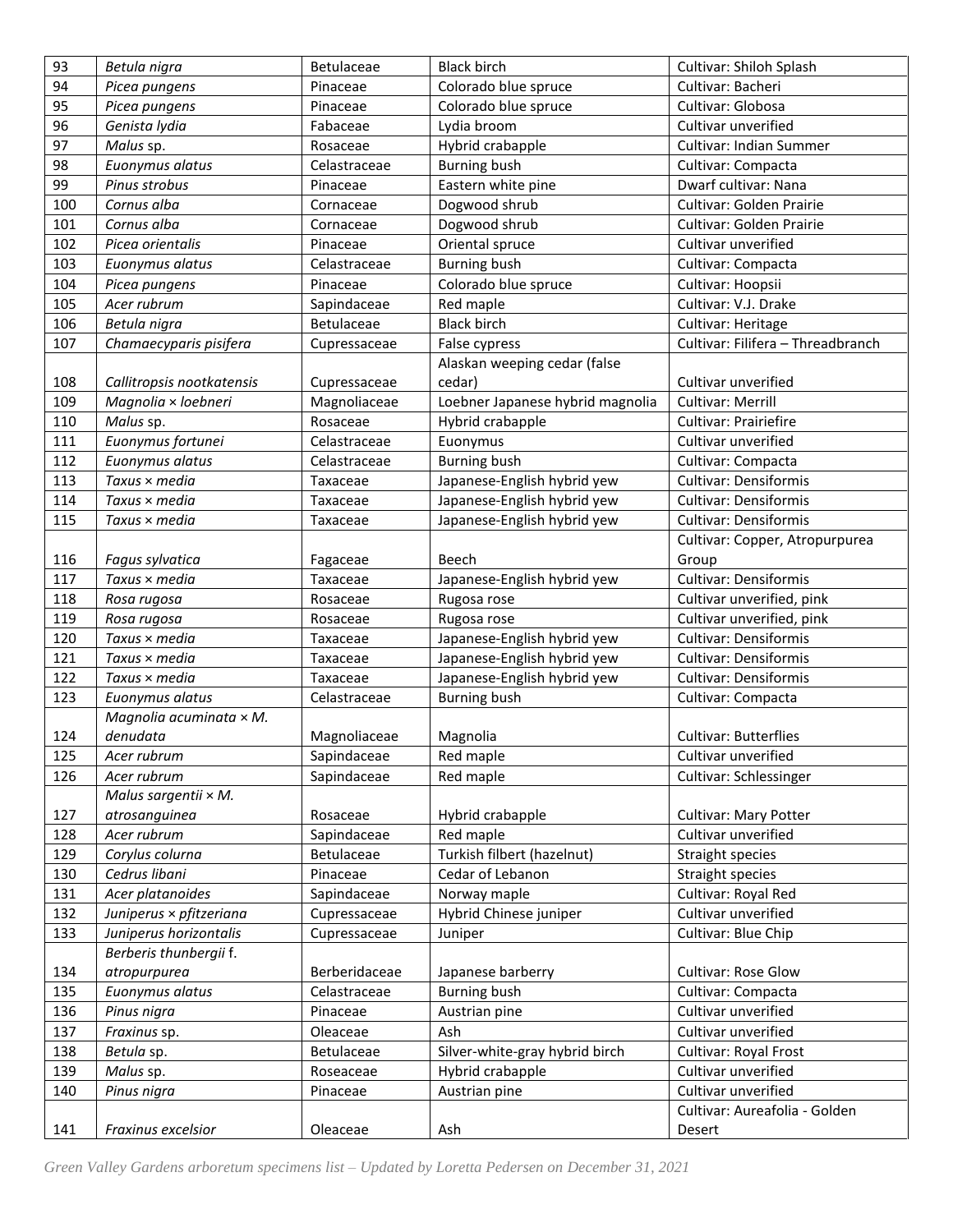| 93  | Betula nigra                   | Betulaceae    | <b>Black birch</b>               | Cultivar: Shiloh Splash           |
|-----|--------------------------------|---------------|----------------------------------|-----------------------------------|
| 94  | Picea pungens                  | Pinaceae      | Colorado blue spruce             | Cultivar: Bacheri                 |
| 95  | Picea pungens                  | Pinaceae      | Colorado blue spruce             | Cultivar: Globosa                 |
| 96  | Genista lydia                  | Fabaceae      | Lydia broom                      | Cultivar unverified               |
| 97  | Malus sp.                      | Rosaceae      | Hybrid crabapple                 | Cultivar: Indian Summer           |
| 98  | Euonymus alatus                | Celastraceae  | <b>Burning bush</b>              | Cultivar: Compacta                |
| 99  | Pinus strobus                  | Pinaceae      | Eastern white pine               | Dwarf cultivar: Nana              |
| 100 | Cornus alba                    | Cornaceae     | Dogwood shrub                    | Cultivar: Golden Prairie          |
| 101 | Cornus alba                    | Cornaceae     | Dogwood shrub                    | Cultivar: Golden Prairie          |
| 102 | Picea orientalis               | Pinaceae      | Oriental spruce                  | Cultivar unverified               |
| 103 | Euonymus alatus                | Celastraceae  | <b>Burning bush</b>              | Cultivar: Compacta                |
| 104 | Picea pungens                  | Pinaceae      | Colorado blue spruce             | Cultivar: Hoopsii                 |
| 105 | Acer rubrum                    | Sapindaceae   | Red maple                        | Cultivar: V.J. Drake              |
| 106 | Betula nigra                   | Betulaceae    | <b>Black birch</b>               | Cultivar: Heritage                |
| 107 | Chamaecyparis pisifera         | Cupressaceae  | False cypress                    | Cultivar: Filifera - Threadbranch |
|     |                                |               | Alaskan weeping cedar (false     |                                   |
| 108 | Callitropsis nootkatensis      | Cupressaceae  | cedar)                           | Cultivar unverified               |
| 109 | Magnolia × loebneri            | Magnoliaceae  | Loebner Japanese hybrid magnolia | Cultivar: Merrill                 |
| 110 | Malus sp.                      | Rosaceae      | Hybrid crabapple                 | Cultivar: Prairiefire             |
| 111 | Euonymus fortunei              | Celastraceae  | Euonymus                         | Cultivar unverified               |
| 112 | Euonymus alatus                | Celastraceae  | <b>Burning bush</b>              | Cultivar: Compacta                |
| 113 | Taxus × media                  | Taxaceae      | Japanese-English hybrid yew      | <b>Cultivar: Densiformis</b>      |
| 114 | Taxus × media                  | Taxaceae      | Japanese-English hybrid yew      | <b>Cultivar: Densiformis</b>      |
| 115 | Taxus × media                  | Taxaceae      | Japanese-English hybrid yew      | <b>Cultivar: Densiformis</b>      |
|     |                                |               |                                  | Cultivar: Copper, Atropurpurea    |
| 116 | Fagus sylvatica                | Fagaceae      | Beech                            | Group                             |
| 117 | Taxus × media                  | Taxaceae      | Japanese-English hybrid yew      | <b>Cultivar: Densiformis</b>      |
| 118 | Rosa rugosa                    | Rosaceae      | Rugosa rose                      | Cultivar unverified, pink         |
| 119 | Rosa rugosa                    | Rosaceae      | Rugosa rose                      | Cultivar unverified, pink         |
| 120 | Taxus × media                  | Taxaceae      | Japanese-English hybrid yew      | <b>Cultivar: Densiformis</b>      |
| 121 | Taxus × media                  | Taxaceae      | Japanese-English hybrid yew      | <b>Cultivar: Densiformis</b>      |
| 122 | Taxus × media                  | Taxaceae      | Japanese-English hybrid yew      | <b>Cultivar: Densiformis</b>      |
| 123 | Euonymus alatus                | Celastraceae  | <b>Burning bush</b>              | Cultivar: Compacta                |
|     | Magnolia acuminata $\times$ M. |               |                                  |                                   |
| 124 | denudata                       | Magnoliaceae  | Magnolia                         | <b>Cultivar: Butterflies</b>      |
| 125 | Acer rubrum                    | Sapindaceae   | Red maple                        | Cultivar unverified               |
| 126 | Acer rubrum                    | Sapindaceae   | Red maple                        | Cultivar: Schlessinger            |
|     | Malus sargentii × M.           |               |                                  |                                   |
| 127 | atrosanguinea                  | Rosaceae      | Hybrid crabapple                 | <b>Cultivar: Mary Potter</b>      |
| 128 | Acer rubrum                    | Sapindaceae   | Red maple                        | Cultivar unverified               |
| 129 | Corylus colurna                | Betulaceae    | Turkish filbert (hazelnut)       | Straight species                  |
| 130 | Cedrus libani                  | Pinaceae      | Cedar of Lebanon                 | Straight species                  |
| 131 | Acer platanoides               | Sapindaceae   | Norway maple                     | Cultivar: Royal Red               |
| 132 | Juniperus × pfitzeriana        | Cupressaceae  | Hybrid Chinese juniper           | Cultivar unverified               |
| 133 | Juniperus horizontalis         | Cupressaceae  | Juniper                          | Cultivar: Blue Chip               |
|     | Berberis thunbergii f.         |               |                                  |                                   |
| 134 | atropurpurea                   | Berberidaceae | Japanese barberry                | <b>Cultivar: Rose Glow</b>        |
| 135 | Euonymus alatus                | Celastraceae  | <b>Burning bush</b>              | Cultivar: Compacta                |
| 136 | Pinus nigra                    | Pinaceae      | Austrian pine                    | Cultivar unverified               |
| 137 | Fraxinus sp.                   | Oleaceae      | Ash                              | Cultivar unverified               |
| 138 | Betula sp.                     | Betulaceae    | Silver-white-gray hybrid birch   | Cultivar: Royal Frost             |
| 139 | Malus sp.                      | Roseaceae     | Hybrid crabapple                 | Cultivar unverified               |
| 140 | Pinus nigra                    | Pinaceae      | Austrian pine                    | Cultivar unverified               |
|     |                                |               |                                  | Cultivar: Aureafolia - Golden     |
| 141 | Fraxinus excelsior             | Oleaceae      | Ash                              | Desert                            |
|     |                                |               |                                  |                                   |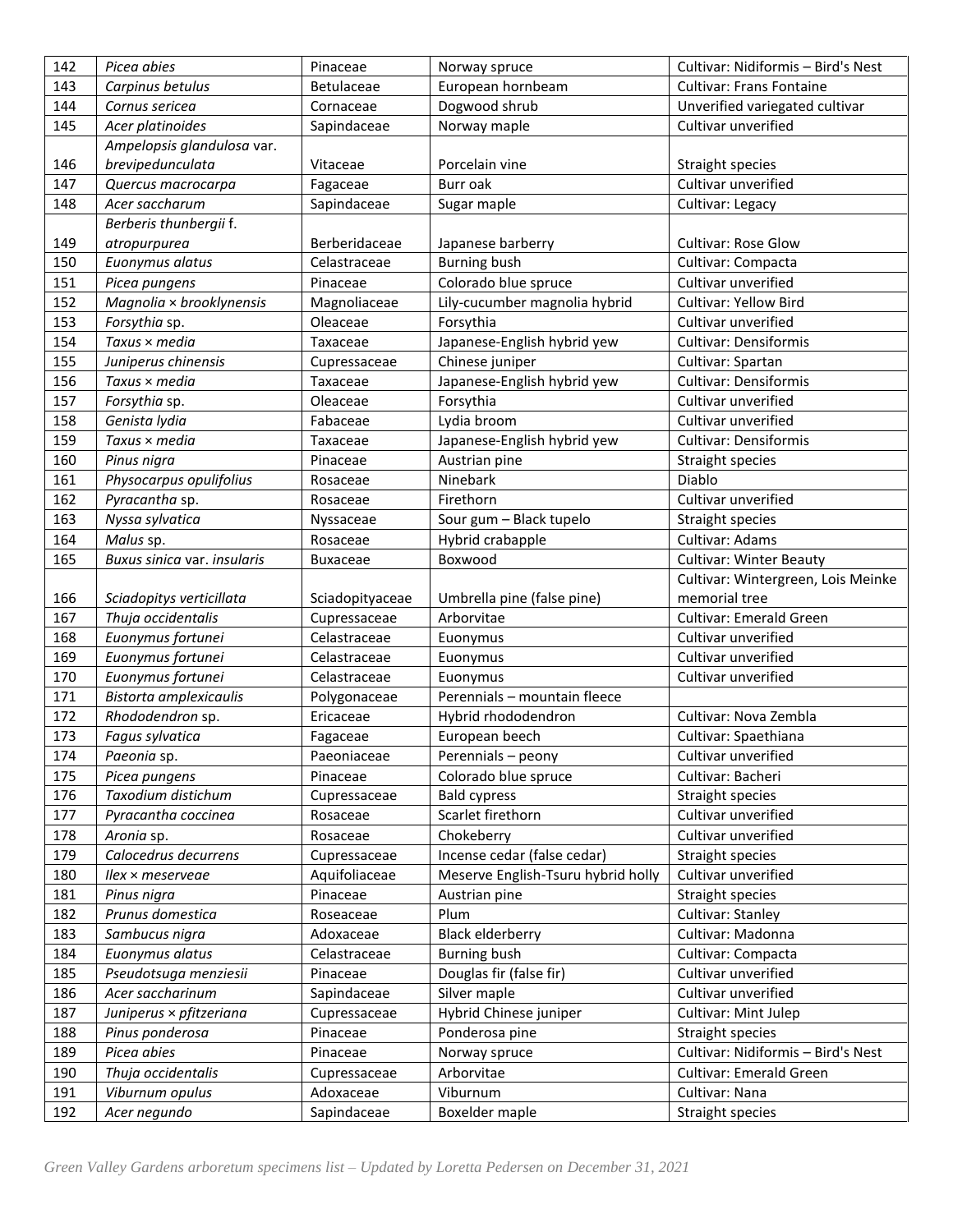| 142 | Picea abies                 | Pinaceae          | Norway spruce                      | Cultivar: Nidiformis - Bird's Nest |
|-----|-----------------------------|-------------------|------------------------------------|------------------------------------|
| 143 | Carpinus betulus            | <b>Betulaceae</b> | European hornbeam                  | <b>Cultivar: Frans Fontaine</b>    |
| 144 | Cornus sericea              | Cornaceae         | Dogwood shrub                      | Unverified variegated cultivar     |
| 145 | Acer platinoides            | Sapindaceae       | Norway maple                       | Cultivar unverified                |
|     | Ampelopsis glandulosa var.  |                   |                                    |                                    |
| 146 | brevipedunculata            | Vitaceae          | Porcelain vine                     | Straight species                   |
| 147 | Quercus macrocarpa          | Fagaceae          | Burr oak                           | Cultivar unverified                |
| 148 | Acer saccharum              | Sapindaceae       | Sugar maple                        | Cultivar: Legacy                   |
|     | Berberis thunbergii f.      |                   |                                    |                                    |
| 149 | atropurpurea                | Berberidaceae     | Japanese barberry                  | <b>Cultivar: Rose Glow</b>         |
| 150 | Euonymus alatus             | Celastraceae      | <b>Burning bush</b>                | Cultivar: Compacta                 |
| 151 | Picea pungens               | Pinaceae          | Colorado blue spruce               | Cultivar unverified                |
| 152 | Magnolia × brooklynensis    | Magnoliaceae      | Lily-cucumber magnolia hybrid      | Cultivar: Yellow Bird              |
| 153 | Forsythia sp.               | Oleaceae          | Forsythia                          | Cultivar unverified                |
| 154 | Taxus × media               | Taxaceae          | Japanese-English hybrid yew        | <b>Cultivar: Densiformis</b>       |
| 155 | Juniperus chinensis         | Cupressaceae      | Chinese juniper                    | Cultivar: Spartan                  |
| 156 | Taxus × media               | Taxaceae          | Japanese-English hybrid yew        | <b>Cultivar: Densiformis</b>       |
| 157 | Forsythia sp.               | Oleaceae          | Forsythia                          | Cultivar unverified                |
| 158 | Genista lydia               | Fabaceae          | Lydia broom                        | Cultivar unverified                |
| 159 | Taxus × media               | Taxaceae          | Japanese-English hybrid yew        | <b>Cultivar: Densiformis</b>       |
| 160 | Pinus nigra                 | Pinaceae          | Austrian pine                      | Straight species                   |
| 161 | Physocarpus opulifolius     | Rosaceae          | Ninebark                           | Diablo                             |
| 162 | Pyracantha sp.              | Rosaceae          | Firethorn                          | Cultivar unverified                |
| 163 | Nyssa sylvatica             | Nyssaceae         | Sour gum - Black tupelo            | Straight species                   |
| 164 | Malus sp.                   | Rosaceae          | Hybrid crabapple                   | Cultivar: Adams                    |
| 165 | Buxus sinica var. insularis | <b>Buxaceae</b>   | Boxwood                            | <b>Cultivar: Winter Beauty</b>     |
|     |                             |                   |                                    | Cultivar: Wintergreen, Lois Meinke |
| 166 | Sciadopitys verticillata    | Sciadopityaceae   | Umbrella pine (false pine)         | memorial tree                      |
| 167 | Thuja occidentalis          | Cupressaceae      | Arborvitae                         | <b>Cultivar: Emerald Green</b>     |
|     |                             |                   |                                    |                                    |
| 168 | Euonymus fortunei           | Celastraceae      | Euonymus                           | Cultivar unverified                |
| 169 | Euonymus fortunei           | Celastraceae      | Euonymus                           | Cultivar unverified                |
| 170 | Euonymus fortunei           | Celastraceae      | Euonymus                           | Cultivar unverified                |
| 171 | Bistorta amplexicaulis      | Polygonaceae      | Perennials - mountain fleece       |                                    |
| 172 | Rhododendron sp.            | Ericaceae         | Hybrid rhododendron                | Cultivar: Nova Zembla              |
| 173 | Fagus sylvatica             | Fagaceae          | European beech                     | Cultivar: Spaethiana               |
| 174 | Paeonia sp.                 | Paeoniaceae       | Perennials - peony                 | Cultivar unverified                |
| 175 | Picea pungens               | Pinaceae          | Colorado blue spruce               | Cultivar: Bacheri                  |
| 176 | Taxodium distichum          | Cupressaceae      | <b>Bald cypress</b>                | Straight species                   |
| 177 | Pyracantha coccinea         | Rosaceae          | Scarlet firethorn                  | Cultivar unverified                |
| 178 | Aronia sp.                  | Rosaceae          | Chokeberry                         | Cultivar unverified                |
| 179 | Calocedrus decurrens        | Cupressaceae      | Incense cedar (false cedar)        | Straight species                   |
| 180 | Ilex × meserveae            | Aquifoliaceae     | Meserve English-Tsuru hybrid holly | Cultivar unverified                |
| 181 | Pinus nigra                 | Pinaceae          | Austrian pine                      | Straight species                   |
| 182 | Prunus domestica            | Roseaceae         | Plum                               | Cultivar: Stanley                  |
| 183 | Sambucus nigra              | Adoxaceae         | <b>Black elderberry</b>            | Cultivar: Madonna                  |
| 184 | Euonymus alatus             | Celastraceae      | <b>Burning bush</b>                | Cultivar: Compacta                 |
| 185 | Pseudotsuga menziesii       | Pinaceae          | Douglas fir (false fir)            | Cultivar unverified                |
| 186 | Acer saccharinum            | Sapindaceae       | Silver maple                       | Cultivar unverified                |
| 187 | Juniperus × pfitzeriana     | Cupressaceae      | Hybrid Chinese juniper             | Cultivar: Mint Julep               |
| 188 | Pinus ponderosa             | Pinaceae          | Ponderosa pine                     | Straight species                   |
| 189 | Picea abies                 | Pinaceae          | Norway spruce                      | Cultivar: Nidiformis - Bird's Nest |
| 190 | Thuja occidentalis          | Cupressaceae      | Arborvitae                         | <b>Cultivar: Emerald Green</b>     |
| 191 | Viburnum opulus             | Adoxaceae         | Viburnum                           | Cultivar: Nana                     |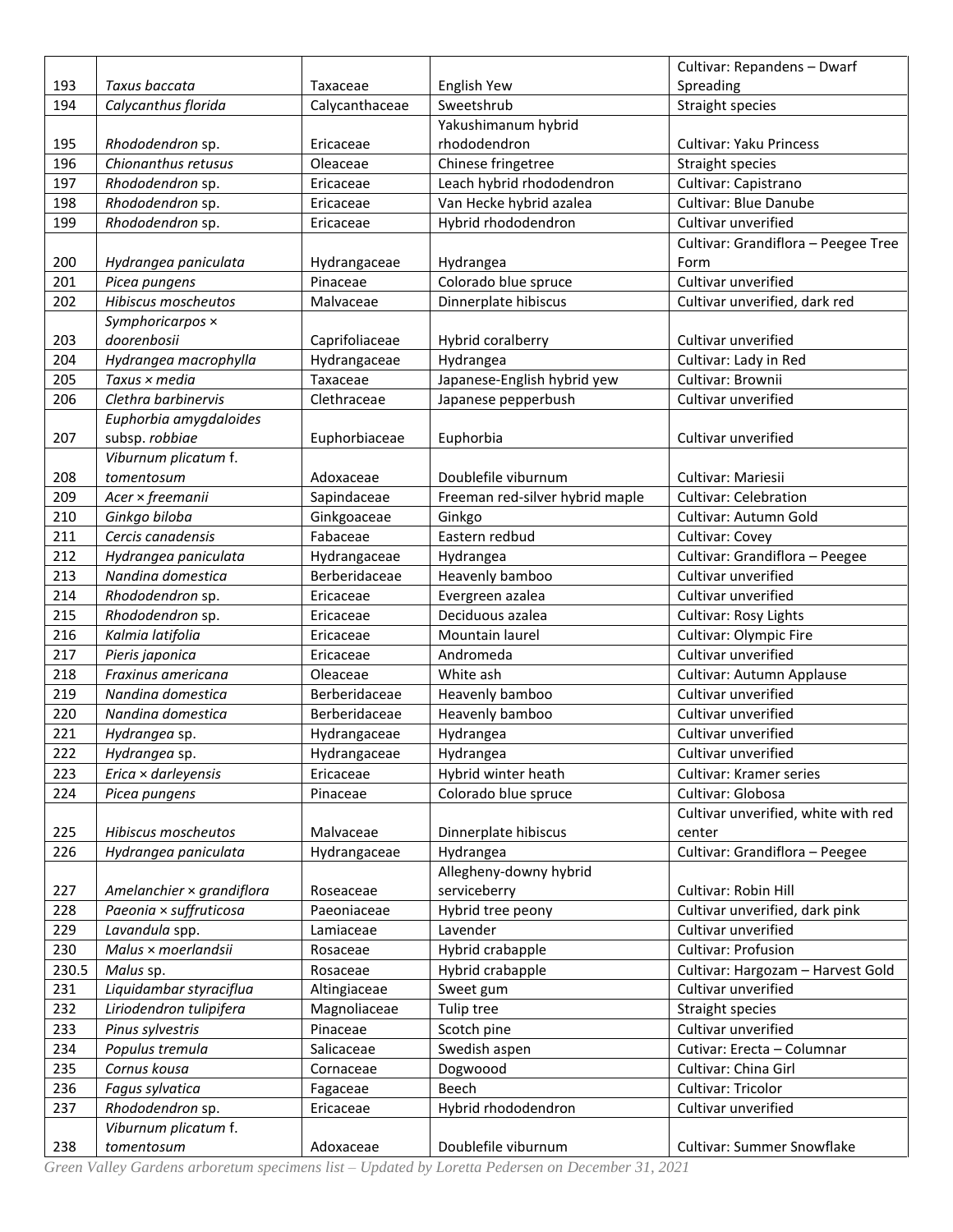|              |                                             |                          |                                      | Cultivar: Repandens - Dwarf                              |
|--------------|---------------------------------------------|--------------------------|--------------------------------------|----------------------------------------------------------|
| 193          | Taxus baccata                               | Taxaceae                 | English Yew                          | Spreading                                                |
| 194          | Calycanthus florida                         | Calycanthaceae           | Sweetshrub                           | <b>Straight species</b>                                  |
|              |                                             |                          | Yakushimanum hybrid                  |                                                          |
| 195          | Rhododendron sp.                            | Ericaceae                | rhododendron                         | <b>Cultivar: Yaku Princess</b>                           |
| 196          | Chionanthus retusus                         | Oleaceae                 | Chinese fringetree                   | Straight species                                         |
| 197          | Rhododendron sp.                            | Ericaceae                | Leach hybrid rhododendron            | Cultivar: Capistrano                                     |
| 198          | Rhododendron sp.                            | Ericaceae                | Van Hecke hybrid azalea              | <b>Cultivar: Blue Danube</b>                             |
| 199          | Rhododendron sp.                            | Ericaceae                | Hybrid rhododendron                  | Cultivar unverified                                      |
|              |                                             |                          |                                      | Cultivar: Grandiflora - Peegee Tree                      |
| 200          | Hydrangea paniculata                        | Hydrangaceae             | Hydrangea                            | Form                                                     |
| 201          | Picea pungens                               | Pinaceae                 | Colorado blue spruce                 | Cultivar unverified                                      |
| 202          | Hibiscus moscheutos                         | Malvaceae                | Dinnerplate hibiscus                 | Cultivar unverified, dark red                            |
|              | Symphoricarpos x                            |                          |                                      |                                                          |
| 203          | doorenbosii                                 | Caprifoliaceae           | Hybrid coralberry                    | Cultivar unverified                                      |
| 204          | Hydrangea macrophylla                       | Hydrangaceae             | Hydrangea                            | Cultivar: Lady in Red                                    |
| 205          | Taxus × media                               | Taxaceae                 | Japanese-English hybrid yew          | Cultivar: Brownii                                        |
| 206          | Clethra barbinervis                         | Clethraceae              | Japanese pepperbush                  | Cultivar unverified                                      |
|              | Euphorbia amygdaloides                      |                          |                                      |                                                          |
| 207          | subsp. robbiae                              | Euphorbiaceae            | Euphorbia                            | Cultivar unverified                                      |
|              | Viburnum plicatum f.                        |                          |                                      |                                                          |
| 208          | tomentosum                                  | Adoxaceae                | Doublefile viburnum                  | Cultivar: Mariesii                                       |
| 209          | Acer × freemanii                            | Sapindaceae              | Freeman red-silver hybrid maple      | <b>Cultivar: Celebration</b>                             |
| 210          | Ginkgo biloba                               | Ginkgoaceae              | Ginkgo                               | Cultivar: Autumn Gold                                    |
| 211          | Cercis canadensis                           | Fabaceae                 | Eastern redbud                       | Cultivar: Covey                                          |
| 212          | Hydrangea paniculata                        | Hydrangaceae             | Hydrangea                            | Cultivar: Grandiflora - Peegee                           |
| 213          | Nandina domestica                           | Berberidaceae            | Heavenly bamboo                      | Cultivar unverified                                      |
| 214          | Rhododendron sp.                            | Ericaceae                | Evergreen azalea                     | Cultivar unverified                                      |
| 215          | Rhododendron sp.                            | Ericaceae                | Deciduous azalea                     | Cultivar: Rosy Lights                                    |
| 216          | Kalmia latifolia                            | Ericaceae                | Mountain laurel                      | Cultivar: Olympic Fire                                   |
| 217          | Pieris japonica                             | Ericaceae                | Andromeda                            | Cultivar unverified                                      |
| 218          | Fraxinus americana                          | Oleaceae                 | White ash                            | Cultivar: Autumn Applause                                |
| 219          | Nandina domestica                           | Berberidaceae            | Heavenly bamboo                      | Cultivar unverified                                      |
| 220          | Nandina domestica                           | Berberidaceae            | Heavenly bamboo                      | Cultivar unverified                                      |
| 221          | Hydrangea sp.                               | Hydrangaceae             | Hydrangea                            | Cultivar unverified                                      |
| 222          | Hydrangea sp.                               | Hydrangaceae             | Hydrangea                            | Cultivar unverified                                      |
| 223          | $Erica \times darleyensis$                  | Ericaceae                | Hybrid winter heath                  | Cultivar: Kramer series                                  |
| 224          | Picea pungens                               | Pinaceae                 | Colorado blue spruce                 | Cultivar: Globosa                                        |
|              |                                             |                          |                                      | Cultivar unverified, white with red                      |
| 225          | Hibiscus moscheutos                         | Malvaceae                | Dinnerplate hibiscus                 | center                                                   |
| 226          | Hydrangea paniculata                        | Hydrangaceae             | Hydrangea                            | Cultivar: Grandiflora - Peegee                           |
|              |                                             |                          | Allegheny-downy hybrid               |                                                          |
| 227          | Amelanchier × grandiflora                   | Roseaceae                | serviceberry                         | Cultivar: Robin Hill                                     |
| 228          | Paeonia × suffruticosa                      | Paeoniaceae              | Hybrid tree peony                    | Cultivar unverified, dark pink<br>Cultivar unverified    |
| 229          | Lavandula spp.                              | Lamiaceae                | Lavender                             |                                                          |
| 230<br>230.5 | Malus × moerlandsii<br>Malus sp.            | Rosaceae                 | Hybrid crabapple<br>Hybrid crabapple | Cultivar: Profusion<br>Cultivar: Hargozam - Harvest Gold |
|              |                                             | Rosaceae                 |                                      |                                                          |
| 231          | Liquidambar styraciflua                     | Altingiaceae             | Sweet gum                            | Cultivar unverified                                      |
| 232          | Liriodendron tulipifera<br>Pinus sylvestris | Magnoliaceae<br>Pinaceae | Tulip tree                           | Straight species<br>Cultivar unverified                  |
| 233<br>234   |                                             | Salicaceae               | Scotch pine                          | Cutivar: Erecta - Columnar                               |
| 235          | Populus tremula<br>Cornus kousa             |                          | Swedish aspen                        | Cultivar: China Girl                                     |
| 236          | Fagus sylvatica                             | Cornaceae<br>Fagaceae    | Dogwoood<br>Beech                    | Cultivar: Tricolor                                       |
| 237          | Rhododendron sp.                            | Ericaceae                | Hybrid rhododendron                  | Cultivar unverified                                      |
|              | Viburnum plicatum f.                        |                          |                                      |                                                          |
| 238          | tomentosum                                  | Adoxaceae                | Doublefile viburnum                  | Cultivar: Summer Snowflake                               |
|              |                                             |                          |                                      |                                                          |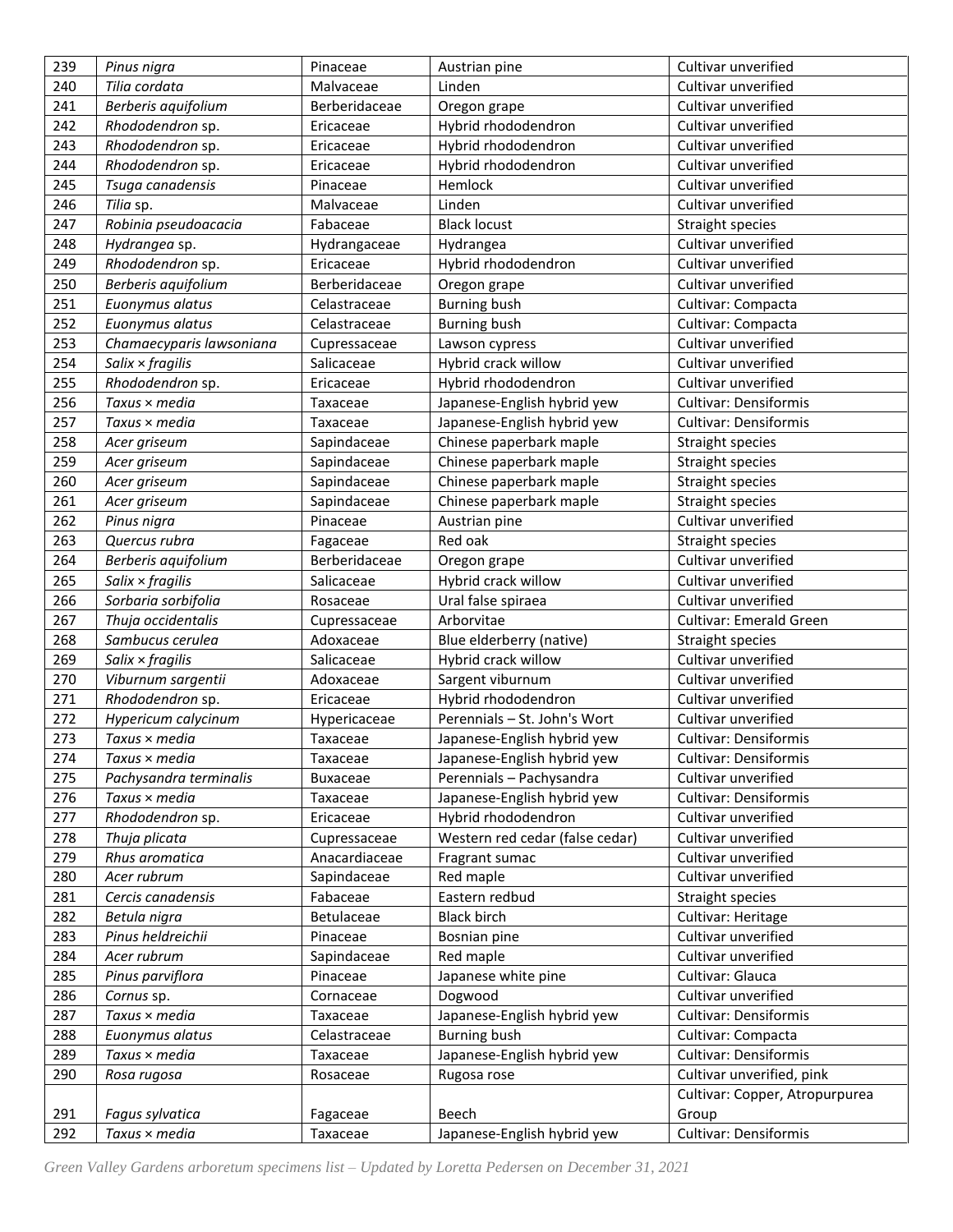| 239 | Pinus nigra                | Pinaceae        | Austrian pine                   | Cultivar unverified            |
|-----|----------------------------|-----------------|---------------------------------|--------------------------------|
| 240 | Tilia cordata              | Malvaceae       | Linden                          | Cultivar unverified            |
| 241 | Berberis aquifolium        | Berberidaceae   | Oregon grape                    | Cultivar unverified            |
| 242 | Rhododendron sp.           | Ericaceae       | Hybrid rhododendron             | Cultivar unverified            |
| 243 | Rhododendron sp.           | Ericaceae       | Hybrid rhododendron             | Cultivar unverified            |
| 244 | Rhododendron sp.           | Ericaceae       | Hybrid rhododendron             | Cultivar unverified            |
| 245 | Tsuga canadensis           | Pinaceae        | Hemlock                         | Cultivar unverified            |
| 246 | Tilia sp.                  | Malvaceae       | Linden                          | Cultivar unverified            |
| 247 | Robinia pseudoacacia       | Fabaceae        | <b>Black locust</b>             | Straight species               |
| 248 | Hydrangea sp.              | Hydrangaceae    | Hydrangea                       | Cultivar unverified            |
| 249 | Rhododendron sp.           | Ericaceae       | Hybrid rhododendron             | Cultivar unverified            |
| 250 | Berberis aquifolium        | Berberidaceae   | Oregon grape                    | Cultivar unverified            |
| 251 | Euonymus alatus            | Celastraceae    | <b>Burning bush</b>             | Cultivar: Compacta             |
| 252 | Euonymus alatus            | Celastraceae    | <b>Burning bush</b>             | Cultivar: Compacta             |
| 253 | Chamaecyparis lawsoniana   | Cupressaceae    | Lawson cypress                  | Cultivar unverified            |
| 254 | $S$ alix $\times$ fragilis | Salicaceae      | Hybrid crack willow             | Cultivar unverified            |
| 255 | Rhododendron sp.           | Ericaceae       | Hybrid rhododendron             | Cultivar unverified            |
| 256 | Taxus × media              | Taxaceae        | Japanese-English hybrid yew     | <b>Cultivar: Densiformis</b>   |
| 257 | Taxus × media              | Taxaceae        | Japanese-English hybrid yew     | <b>Cultivar: Densiformis</b>   |
| 258 | Acer griseum               | Sapindaceae     | Chinese paperbark maple         | Straight species               |
| 259 | Acer griseum               | Sapindaceae     | Chinese paperbark maple         | Straight species               |
| 260 | Acer griseum               | Sapindaceae     | Chinese paperbark maple         | Straight species               |
| 261 | Acer griseum               | Sapindaceae     | Chinese paperbark maple         | Straight species               |
| 262 | Pinus nigra                | Pinaceae        | Austrian pine                   | Cultivar unverified            |
| 263 | Quercus rubra              | Fagaceae        | Red oak                         | Straight species               |
| 264 | Berberis aquifolium        | Berberidaceae   | Oregon grape                    | Cultivar unverified            |
| 265 | $S$ alix $\times$ fragilis | Salicaceae      | Hybrid crack willow             | Cultivar unverified            |
| 266 | Sorbaria sorbifolia        | Rosaceae        | Ural false spiraea              | Cultivar unverified            |
| 267 | Thuja occidentalis         | Cupressaceae    | Arborvitae                      | <b>Cultivar: Emerald Green</b> |
| 268 | Sambucus cerulea           | Adoxaceae       | Blue elderberry (native)        | <b>Straight species</b>        |
| 269 | Salix $\times$ fragilis    | Salicaceae      | Hybrid crack willow             | Cultivar unverified            |
| 270 | Viburnum sargentii         | Adoxaceae       | Sargent viburnum                | Cultivar unverified            |
| 271 | Rhododendron sp.           | Ericaceae       | Hybrid rhododendron             | Cultivar unverified            |
| 272 | Hypericum calycinum        | Hypericaceae    | Perennials - St. John's Wort    | Cultivar unverified            |
| 273 | Taxus × media              | Taxaceae        | Japanese-English hybrid yew     | <b>Cultivar: Densiformis</b>   |
| 274 | Taxus × media              | Taxaceae        | Japanese-English hybrid yew     | Cultivar: Densiformis          |
| 275 | Pachysandra terminalis     | <b>Buxaceae</b> | Perennials - Pachysandra        | Cultivar unverified            |
| 276 | Taxus × media              | Taxaceae        | Japanese-English hybrid yew     | <b>Cultivar: Densiformis</b>   |
| 277 | Rhododendron sp.           | Ericaceae       | Hybrid rhododendron             | Cultivar unverified            |
| 278 | Thuja plicata              | Cupressaceae    | Western red cedar (false cedar) | Cultivar unverified            |
| 279 | Rhus aromatica             | Anacardiaceae   | Fragrant sumac                  | Cultivar unverified            |
| 280 | Acer rubrum                | Sapindaceae     | Red maple                       | Cultivar unverified            |
| 281 | Cercis canadensis          | Fabaceae        | Eastern redbud                  | Straight species               |
| 282 | Betula nigra               | Betulaceae      | <b>Black birch</b>              | Cultivar: Heritage             |
| 283 | Pinus heldreichii          | Pinaceae        | Bosnian pine                    | Cultivar unverified            |
| 284 | Acer rubrum                | Sapindaceae     | Red maple                       | Cultivar unverified            |
| 285 | Pinus parviflora           | Pinaceae        | Japanese white pine             | Cultivar: Glauca               |
| 286 | Cornus sp.                 | Cornaceae       | Dogwood                         | Cultivar unverified            |
| 287 | Taxus × media              | Taxaceae        | Japanese-English hybrid yew     | <b>Cultivar: Densiformis</b>   |
| 288 | Euonymus alatus            | Celastraceae    | <b>Burning bush</b>             | Cultivar: Compacta             |
| 289 | Taxus × media              | Taxaceae        | Japanese-English hybrid yew     | <b>Cultivar: Densiformis</b>   |
| 290 | Rosa rugosa                | Rosaceae        | Rugosa rose                     | Cultivar unverified, pink      |
|     |                            |                 |                                 | Cultivar: Copper, Atropurpurea |
| 291 | Fagus sylvatica            | Fagaceae        | Beech                           | Group                          |
| 292 | Taxus × media              | Taxaceae        | Japanese-English hybrid yew     | <b>Cultivar: Densiformis</b>   |
|     |                            |                 |                                 |                                |